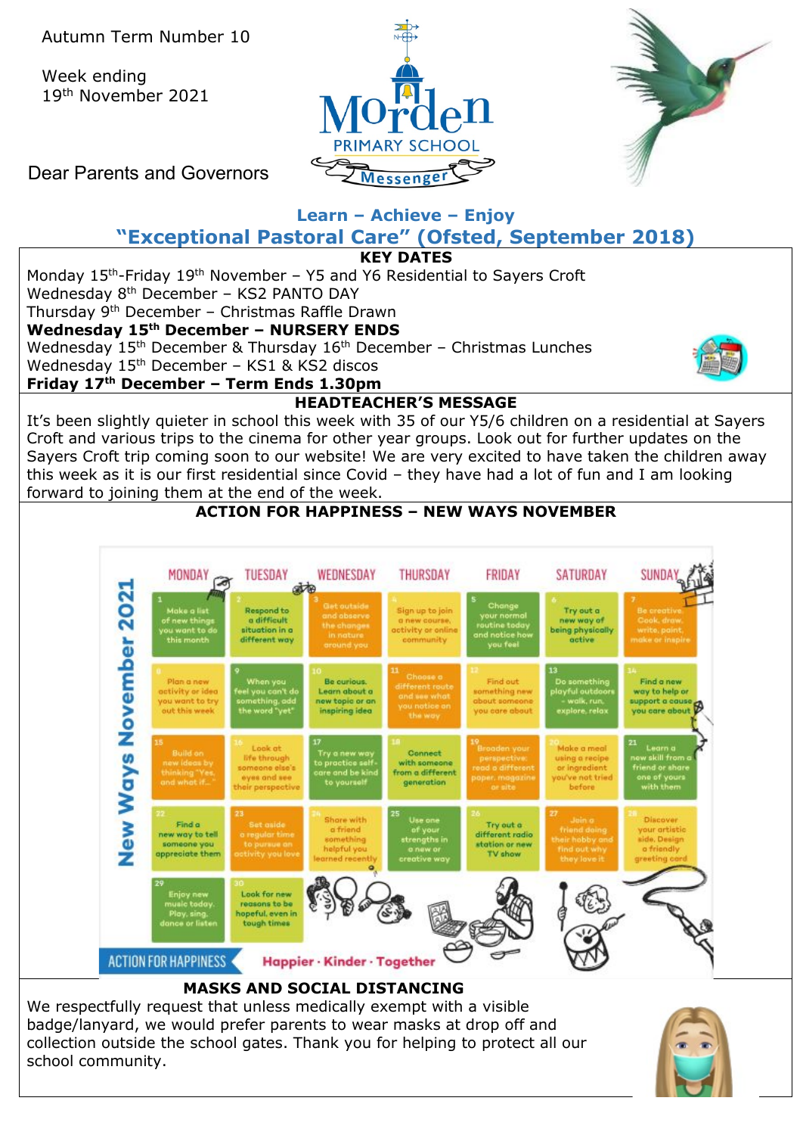Week ending 19th November 2021





Dear Parents and Governors

# **Learn – Achieve – Enjoy "Exceptional Pastoral Care" (Ofsted, September 2018)**



We respectfully request that unless medically exempt with a visible badge/lanyard, we would prefer parents to wear masks at drop off and collection outside the school gates. Thank you for helping to protect all our school community.

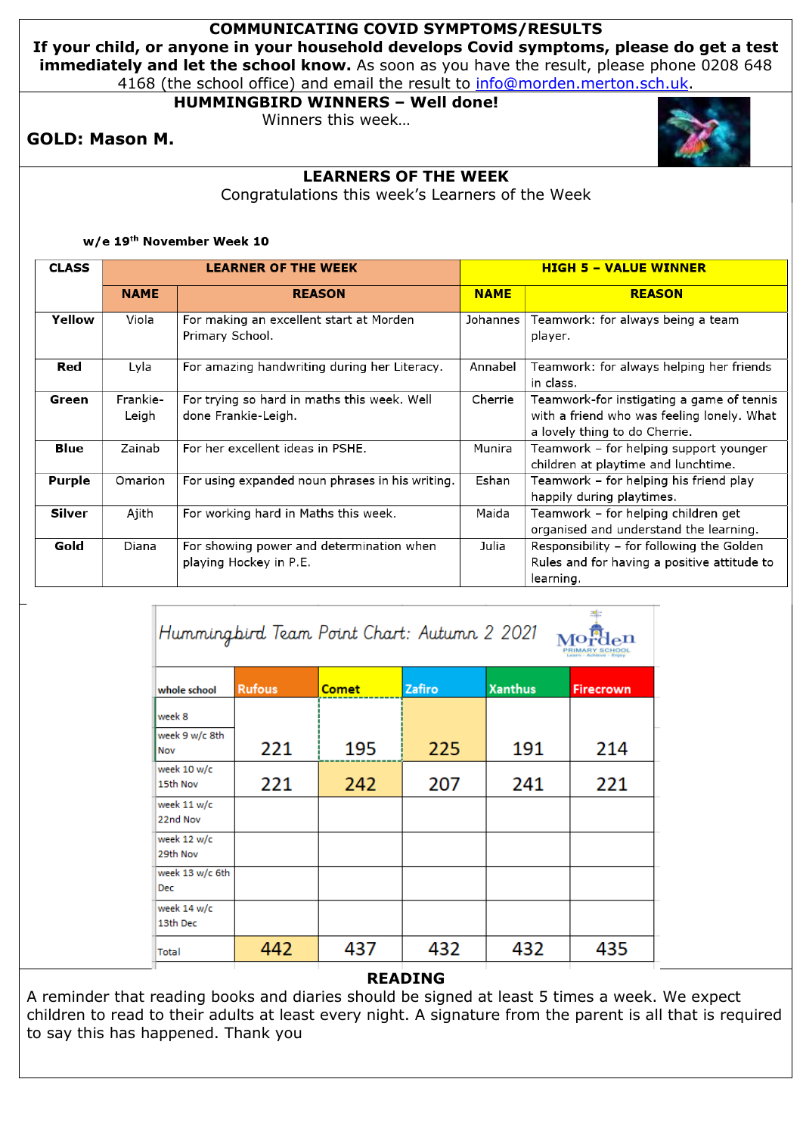### **COMMUNICATING COVID SYMPTOMS/RESULTS**

**If your child, or anyone in your household develops Covid symptoms, please do get a test immediately and let the school know.** As soon as you have the result, please phone 0208 648 4168 (the school office) and email the result to [info@morden.merton.sch.uk.](mailto:info@morden.merton.sch.uk)

## **HUMMINGBIRD WINNERS – Well done!**

Winners this week…

## **GOLD: Mason M.**



Congratulations this week's Learners of the Week

w/e 19th November Week 10

T

| <b>CLASS</b>  | <b>LEARNER OF THE WEEK</b> |                                                                    |             | <b>HIGH 5 - VALUE WINNER</b>                                                                                             |  |  |
|---------------|----------------------------|--------------------------------------------------------------------|-------------|--------------------------------------------------------------------------------------------------------------------------|--|--|
|               | <b>NAME</b>                | <b>REASON</b>                                                      | <b>NAME</b> | <b>REASON</b>                                                                                                            |  |  |
| Yellow        | Viola                      | For making an excellent start at Morden<br>Primary School.         | Johannes    | Teamwork: for always being a team<br>player.                                                                             |  |  |
| Red           | Lyla                       | For amazing handwriting during her Literacy.                       | Annabel     | Teamwork: for always helping her friends<br>in class.                                                                    |  |  |
| Green         | Frankie-<br>Leigh          | For trying so hard in maths this week. Well<br>done Frankie-Leigh. | Cherrie     | Teamwork-for instigating a game of tennis<br>with a friend who was feeling lonely. What<br>a lovely thing to do Cherrie. |  |  |
| Blue          | Zainab                     | For her excellent ideas in PSHE.                                   | Munira      | Teamwork - for helping support younger<br>children at playtime and lunchtime.                                            |  |  |
| <b>Purple</b> | Omarion                    | For using expanded noun phrases in his writing.                    | Eshan       | Teamwork – for helping his friend play<br>happily during playtimes.                                                      |  |  |
| Silver        | Ajith                      | For working hard in Maths this week.                               | Maida       | Teamwork - for helping children get<br>organised and understand the learning.                                            |  |  |
| Gold          | Diana                      | For showing power and determination when<br>playing Hockey in P.E. | Julia       | Responsibility - for following the Golden<br>Rules and for having a positive attitude to<br>learning.                    |  |  |

零

| Humming bird Team Point Chart: Autumn 2 2021 |               |              |        |                |                  |  |  |
|----------------------------------------------|---------------|--------------|--------|----------------|------------------|--|--|
| whole school                                 | <b>Rufous</b> | <b>Comet</b> | Zafiro | <b>Xanthus</b> | <b>Firecrown</b> |  |  |
| week 8                                       |               |              |        |                |                  |  |  |
| week 9 w/c 8th<br>Nov                        | 221           | 195          | 225    | 191            | 214              |  |  |
| week 10 w/c<br>15th Nov                      | 221           | 242          | 207    | 241            | 221              |  |  |
| week 11 w/c<br>22nd Nov                      |               |              |        |                |                  |  |  |
| week 12 w/c<br>29th Nov                      |               |              |        |                |                  |  |  |
| week 13 w/c 6th<br><b>Dec</b>                |               |              |        |                |                  |  |  |
| week 14 w/c<br>13th Dec                      |               |              |        |                |                  |  |  |
| Total                                        | 442           | 437          | 432    | 432            | 435              |  |  |

#### **READING**

A reminder that reading books and diaries should be signed at least 5 times a week. We expect children to read to their adults at least every night. A signature from the parent is all that is required to say this has happened. Thank you